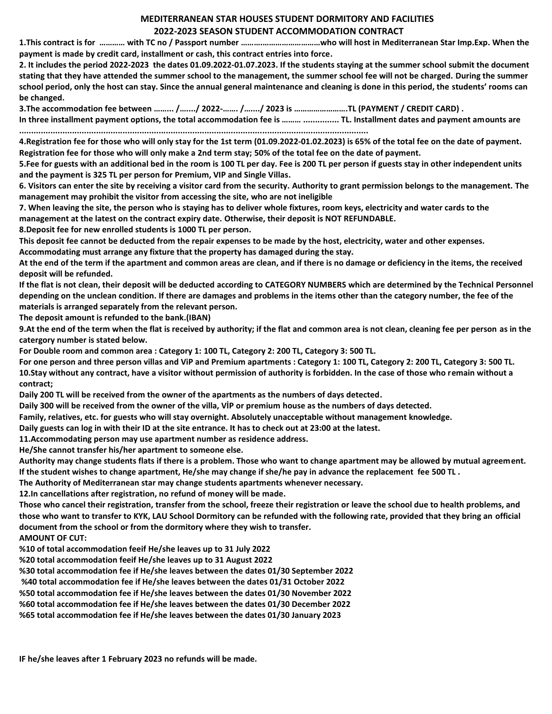## **MEDITERRANEAN STAR HOUSES STUDENT DORMITORY AND FACILITIES 2022-2023 SEASON STUDENT ACCOMMODATION CONTRACT**

**1.This contract is for ………… with TC no / Passport number ……….………………………who will host in Mediterranean Star Imp.Exp. When the payment is made by credit card, installment or cash, this contract entries into force.**

**2. It includes the period 2022-2023 the dates 01.09.2022-01.07.2023. If the students staying at the summer school submit the document stating that they have attended the summer school to the management, the summer school fee will not be charged. During the summer school period, only the host can stay. Since the annual general maintenance and cleaning is done in this period, the students' rooms can be changed.**

**3.The accommodation fee between ……... /…..../ 2022-……. /…..../ 2023 is …………………….TL (PAYMENT / CREDIT CARD) . In three installment payment options, the total accommodation fee is ……… ............... TL. Installment dates and payment amounts are** 

**4.Registration fee for those who will only stay for the 1st term (01.09.2022-01.02.2023) is 65% of the total fee on the date of payment. Registration fee for those who will only make a 2nd term stay; 50% of the total fee on the date of payment.**

**5.Fee for guests with an additional bed in the room is 100 TL per day. Fee is 200 TL per person if guests stay in other independent units and the payment is 325 TL per person for Premium, VIP and Single Villas.**

**6. Visitors can enter the site by receiving a visitor card from the security. Authority to grant permission belongs to the management. The management may prohibit the visitor from accessing the site, who are not ineligible**

**7. When leaving the site, the person who is staying has to deliver whole fixtures, room keys, electricity and water cards to the management at the latest on the contract expiry date. Otherwise, their deposit is NOT REFUNDABLE.**

**8.Deposit fee for new enrolled students is 1000 TL per person.**

**This deposit fee cannot be deducted from the repair expenses to be made by the host, electricity, water and other expenses.**

**Accommodating must arrange any fixture that the property has damaged during the stay.**

**.................................................................................................................................................**

**At the end of the term if the apartment and common areas are clean, and if there is no damage or deficiency in the items, the received deposit will be refunded.**

**If the flat is not clean, their deposit will be deducted according to CATEGORY NUMBERS which are determined by the Technical Personnel depending on the unclean condition. If there are damages and problems in the items other than the category number, the fee of the materials is arranged separately from the relevant person.**

**The deposit amount is refunded to the bank.(IBAN)**

**9.At the end of the term when the flat is received by authority; if the flat and common area is not clean, cleaning fee per person as in the catergory number is stated below.**

**For Double room and common area : Category 1: 100 TL, Category 2: 200 TL, Category 3: 500 TL.**

**For one person and three person villas and ViP and Premium apartments : Category 1: 100 TL, Category 2: 200 TL, Category 3: 500 TL. 10.Stay without any contract, have a visitor without permission of authority is forbidden. In the case of those who remain without a contract;**

**Daily 200 TL will be received from the owner of the apartments as the numbers of days detected.**

**Daily 300 will be received from the owner of the villa, VİP or premium house as the numbers of days detected.** 

**Family, relatives, etc. for guests who will stay overnight. Absolutely unacceptable without management knowledge.**

**Daily guests can log in with their ID at the site entrance. It has to check out at 23:00 at the latest.**

**11.Accommodating person may use apartment number as residence address.**

**He/She cannot transfer his/her apartment to someone else.**

**Authority may change students flats if there is a problem. Those who want to change apartment may be allowed by mutual agreement. If the student wishes to change apartment, He/she may change if she/he pay in advance the replacement fee 500 TL .**

**The Authority of Mediterranean star may change students apartments whenever necessary.**

**12.In cancellations after registration, no refund of money will be made.**

**Those who cancel their registration, transfer from the school, freeze their registration or leave the school due to health problems, and those who want to transfer to KYK, LAU School Dormitory can be refunded with the following rate, provided that they bring an official document from the school or from the dormitory where they wish to transfer.**

**AMOUNT OF CUT:**

**%10 of total accommodation feeif He/she leaves up to 31 July 2022**

**%20 total accommodation feeif He/she leaves up to 31 August 2022**

**%30 total accommodation fee if He/she leaves between the dates 01/30 September 2022**

**%40 total accommodation fee if He/she leaves between the dates 01/31 October 2022**

**%50 total accommodation fee if He/she leaves between the dates 01/30 November 2022**

**%60 total accommodation fee if He/she leaves between the dates 01/30 December 2022**

**%65 total accommodation fee if He/she leaves between the dates 01/30 January 2023**

**IF he/she leaves after 1 February 2023 no refunds will be made.**